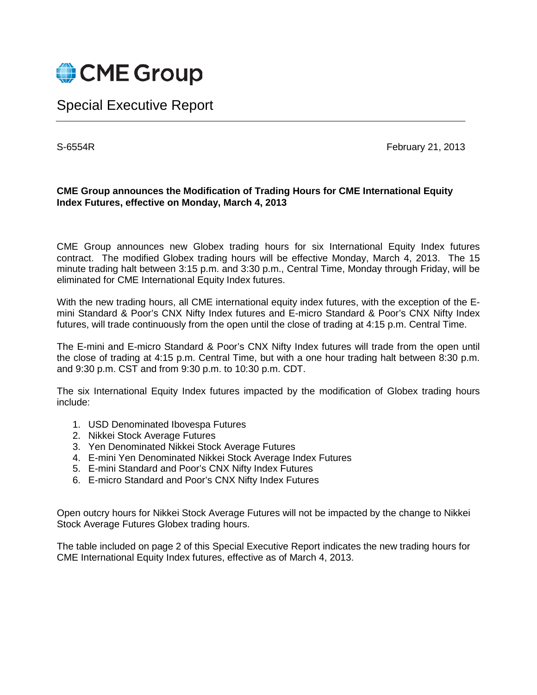

## Special Executive Report

S-6554R February 21, 2013

## **CME Group announces the Modification of Trading Hours for CME International Equity Index Futures, effective on Monday, March 4, 2013**

CME Group announces new Globex trading hours for six International Equity Index futures contract. The modified Globex trading hours will be effective Monday, March 4, 2013. The 15 minute trading halt between 3:15 p.m. and 3:30 p.m., Central Time, Monday through Friday, will be eliminated for CME International Equity Index futures.

With the new trading hours, all CME international equity index futures, with the exception of the Emini Standard & Poor's CNX Nifty Index futures and E-micro Standard & Poor's CNX Nifty Index futures, will trade continuously from the open until the close of trading at 4:15 p.m. Central Time.

The E-mini and E-micro Standard & Poor's CNX Nifty Index futures will trade from the open until the close of trading at 4:15 p.m. Central Time, but with a one hour trading halt between 8:30 p.m. and 9:30 p.m. CST and from 9:30 p.m. to 10:30 p.m. CDT.

The six International Equity Index futures impacted by the modification of Globex trading hours include:

- 1. USD Denominated Ibovespa Futures
- 2. Nikkei Stock Average Futures
- 3. Yen Denominated Nikkei Stock Average Futures
- 4. E-mini Yen Denominated Nikkei Stock Average Index Futures
- 5. E-mini Standard and Poor's CNX Nifty Index Futures
- 6. E-micro Standard and Poor's CNX Nifty Index Futures

Open outcry hours for Nikkei Stock Average Futures will not be impacted by the change to Nikkei Stock Average Futures Globex trading hours.

The table included on page 2 of this Special Executive Report indicates the new trading hours for CME International Equity Index futures, effective as of March 4, 2013.